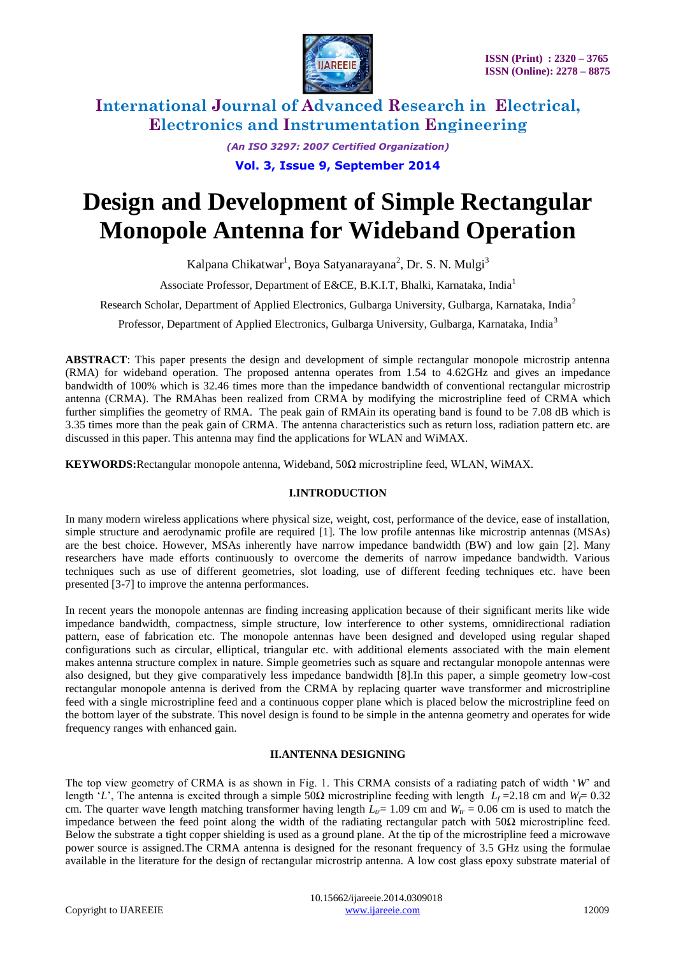

> *(An ISO 3297: 2007 Certified Organization)* **Vol. 3, Issue 9, September 2014**

# **Design and Development of Simple Rectangular Monopole Antenna for Wideband Operation**

Kalpana Chikatwar<sup>1</sup>, Boya Satyanarayana<sup>2</sup>, Dr. S. N. Mulgi<sup>3</sup>

Associate Professor, Department of E&CE, B.K.I.T. Bhalki, Karnataka, India<sup>1</sup>

Research Scholar, Department of Applied Electronics, Gulbarga University, Gulbarga, Karnataka, India<sup>2</sup>

Professor, Department of Applied Electronics, Gulbarga University, Gulbarga, Karnataka, India<sup>3</sup>

**ABSTRACT**: This paper presents the design and development of simple rectangular monopole microstrip antenna (RMA) for wideband operation. The proposed antenna operates from 1.54 to 4.62GHz and gives an impedance bandwidth of 100% which is 32.46 times more than the impedance bandwidth of conventional rectangular microstrip antenna (CRMA). The RMAhas been realized from CRMA by modifying the microstripline feed of CRMA which further simplifies the geometry of RMA. The peak gain of RMAin its operating band is found to be 7.08 dB which is 3.35 times more than the peak gain of CRMA. The antenna characteristics such as return loss, radiation pattern etc. are discussed in this paper. This antenna may find the applications for WLAN and WiMAX.

**KEYWORDS:**Rectangular monopole antenna, Wideband, 50Ω microstripline feed, WLAN, WiMAX.

### **I.INTRODUCTION**

In many modern wireless applications where physical size, weight, cost, performance of the device, ease of installation, simple structure and aerodynamic profile are required [1]. The low profile antennas like microstrip antennas (MSAs) are the best choice. However, MSAs inherently have narrow impedance bandwidth (BW) and low gain [2]. Many researchers have made efforts continuously to overcome the demerits of narrow impedance bandwidth. Various techniques such as use of different geometries, slot loading, use of different feeding techniques etc. have been presented [3-7] to improve the antenna performances.

In recent years the monopole antennas are finding increasing application because of their significant merits like wide impedance bandwidth, compactness, simple structure, low interference to other systems, omnidirectional radiation pattern, ease of fabrication etc. The monopole antennas have been designed and developed using regular shaped configurations such as circular, elliptical, triangular etc. with additional elements associated with the main element makes antenna structure complex in nature. Simple geometries such as square and rectangular monopole antennas were also designed, but they give comparatively less impedance bandwidth [8].In this paper, a simple geometry low-cost rectangular monopole antenna is derived from the CRMA by replacing quarter wave transformer and microstripline feed with a single microstripline feed and a continuous copper plane which is placed below the microstripline feed on the bottom layer of the substrate. This novel design is found to be simple in the antenna geometry and operates for wide frequency ranges with enhanced gain.

### **II.ANTENNA DESIGNING**

The top view geometry of CRMA is as shown in Fig. 1. This CRMA consists of a radiating patch of width "*W*" and length '*L*', The antenna is excited through a simple 50Ω microstripline feeding with length  $L_f = 2.18$  cm and  $W_f = 0.32$ cm. The quarter wave length matching transformer having length  $L<sub>t</sub>$  = 1.09 cm and  $W<sub>t</sub>$  = 0.06 cm is used to match the impedance between the feed point along the width of the radiating rectangular patch with 50Ω microstripline feed. Below the substrate a tight copper shielding is used as a ground plane. At the tip of the microstripline feed a microwave power source is assigned.The CRMA antenna is designed for the resonant frequency of 3.5 GHz using the formulae available in the literature for the design of rectangular microstrip antenna. A low cost glass epoxy substrate material of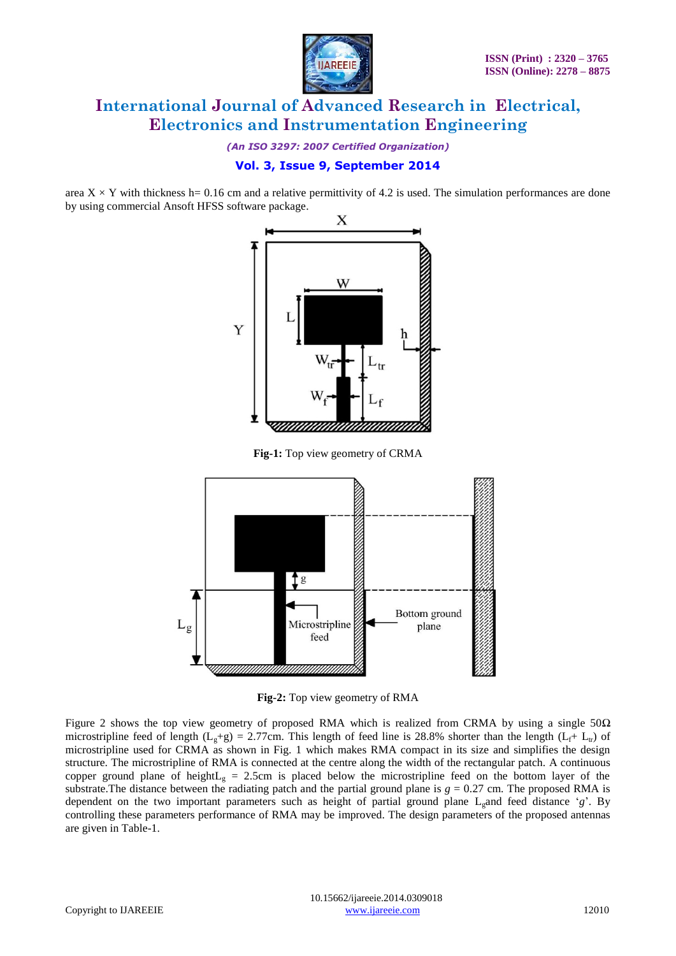

*(An ISO 3297: 2007 Certified Organization)*

## **Vol. 3, Issue 9, September 2014**

area  $X \times Y$  with thickness h= 0.16 cm and a relative permittivity of 4.2 is used. The simulation performances are done by using commercial Ansoft HFSS software package.



**Fig-1:** Top view geometry of CRMA



**Fig-2:** Top view geometry of RMA

Figure 2 shows the top view geometry of proposed RMA which is realized from CRMA by using a single  $50\Omega$ microstripline feed of length ( $L_g+g$ ) = 2.77cm. This length of feed line is 28.8% shorter than the length ( $L_f+ L_t$ ) of microstripline used for CRMA as shown in Fig. 1 which makes RMA compact in its size and simplifies the design structure. The microstripline of RMA is connected at the centre along the width of the rectangular patch. A continuous copper ground plane of height $L<sub>g</sub> = 2.5$ cm is placed below the microstripline feed on the bottom layer of the substrate. The distance between the radiating patch and the partial ground plane is  $g = 0.27$  cm. The proposed RMA is dependent on the two important parameters such as height of partial ground plane L<sub>g</sub>and feed distance 'g'. By controlling these parameters performance of RMA may be improved. The design parameters of the proposed antennas are given in Table-1.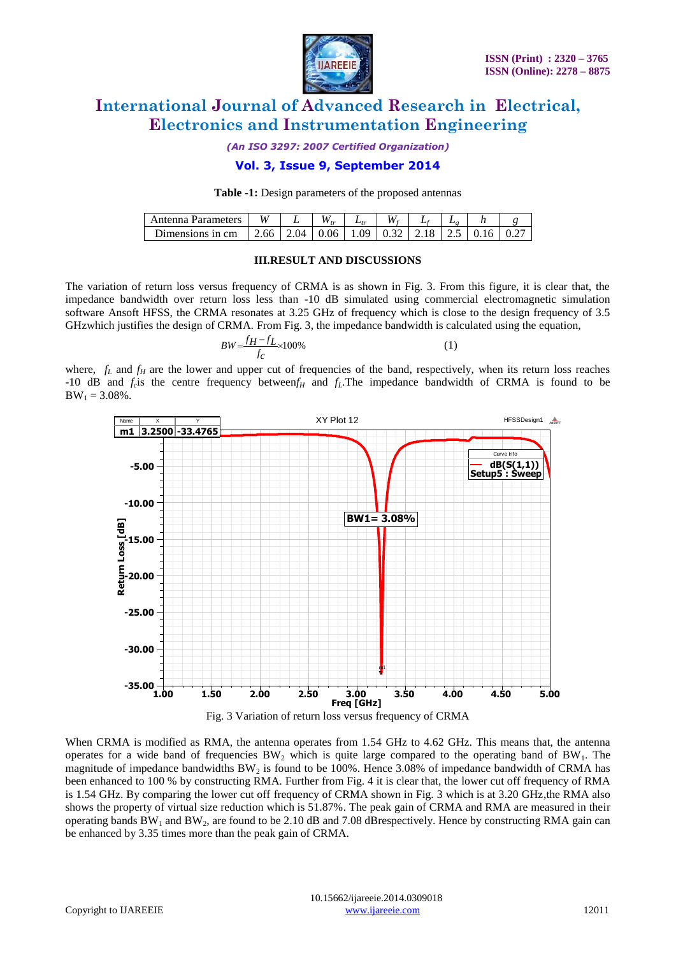

*(An ISO 3297: 2007 Certified Organization)*

### **Vol. 3, Issue 9, September 2014**

**Table -1:** Design parameters of the proposed antennas

| Antenna Parameters | и    |    | м.   | L   | W    | - 10 |  |
|--------------------|------|----|------|-----|------|------|--|
| Jimensions in cm   | 2.00 | 04 | 0.06 | .09 | ∪.J∠ | ر…   |  |

#### **III.RESULT AND DISCUSSIONS**

The variation of return loss versus frequency of CRMA is as shown in Fig. 3. From this figure, it is clear that, the impedance bandwidth over return loss less than -10 dB simulated using commercial electromagnetic simulation software Ansoft HFSS, the CRMA resonates at 3.25 GHz of frequency which is close to the design frequency of 3.5 GHzwhich justifies the design of CRMA. From Fig. 3, the impedance bandwidth is calculated using the equation,

$$
BW = \frac{f_H - f_L}{f_C} \times 100\%
$$
 (1)

where,  $f_L$  and  $f_H$  are the lower and upper cut of frequencies of the band, respectively, when its return loss reaches -10 dB and  $f_c$  is the centre frequency between $f_H$  and  $f_L$ . The impedance bandwidth of CRMA is found to be  $BW_1 = 3.08\%$ .



Fig. 3 Variation of return loss versus frequency of CRMA

When CRMA is modified as RMA, the antenna operates from 1.54 GHz to 4.62 GHz. This means that, the antenna operates for a wide band of frequencies  $BW_2$  which is quite large compared to the operating band of  $BW_1$ . The magnitude of impedance bandwidths  $BW<sub>2</sub>$  is found to be 100%. Hence 3.08% of impedance bandwidth of CRMA has been enhanced to 100 % by constructing RMA. Further from Fig. 4 it is clear that, the lower cut off frequency of RMA is 1.54 GHz. By comparing the lower cut off frequency of CRMA shown in Fig. 3 which is at 3.20 GHz,the RMA also shows the property of virtual size reduction which is 51.87%. The peak gain of CRMA and RMA are measured in their operating bands  $BW_1$  and  $BW_2$ , are found to be 2.10 dB and 7.08 dBrespectively. Hence by constructing RMA gain can be enhanced by 3.35 times more than the peak gain of CRMA.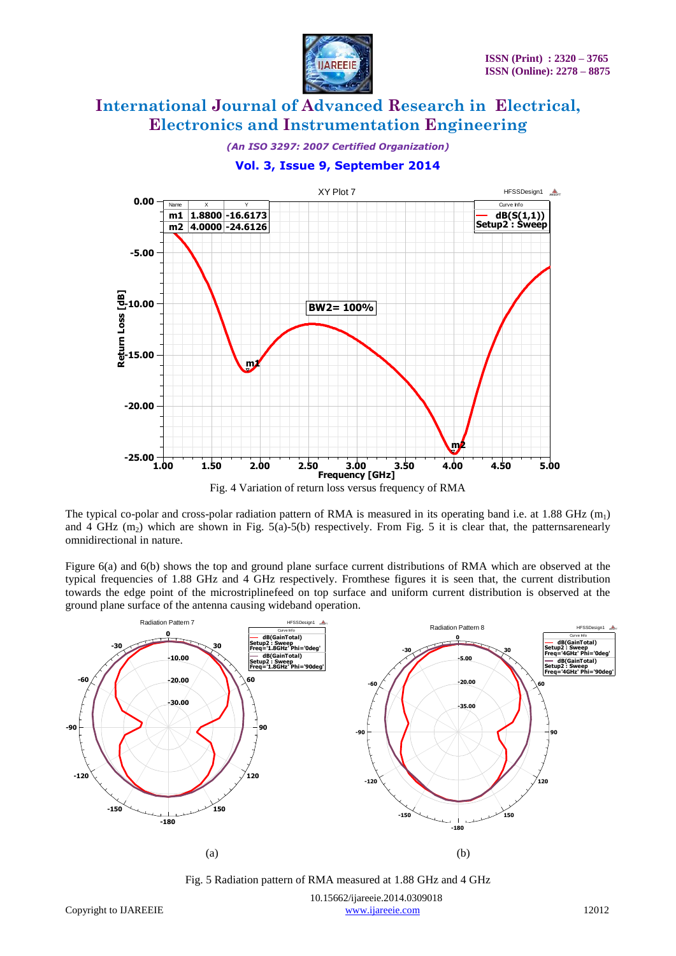

*(An ISO 3297: 2007 Certified Organization)*

**Vol. 3, Issue 9, September 2014**



Fig. 4 Variation of return loss versus frequency of RMA

The typical co-polar and cross-polar radiation pattern of RMA is measured in its operating band i.e. at 1.88 GHz  $(m_1)$ and 4 GHz  $(m_2)$  which are shown in Fig. 5(a)-5(b) respectively. From Fig. 5 it is clear that, the patternsarenearly omnidirectional in nature.

Figure 6(a) and 6(b) shows the top and ground plane surface current distributions of RMA which are observed at the typical frequencies of 1.88 GHz and 4 GHz respectively. Fromthese figures it is seen that, the current distribution towards the edge point of the microstriplinefeed on top surface and uniform current distribution is observed at the ground plane surface of the antenna causing wideband operation.



Fig. 5 Radiation pattern of RMA measured at 1.88 GHz and 4 GHz

10.15662/ijareeie.2014.0309018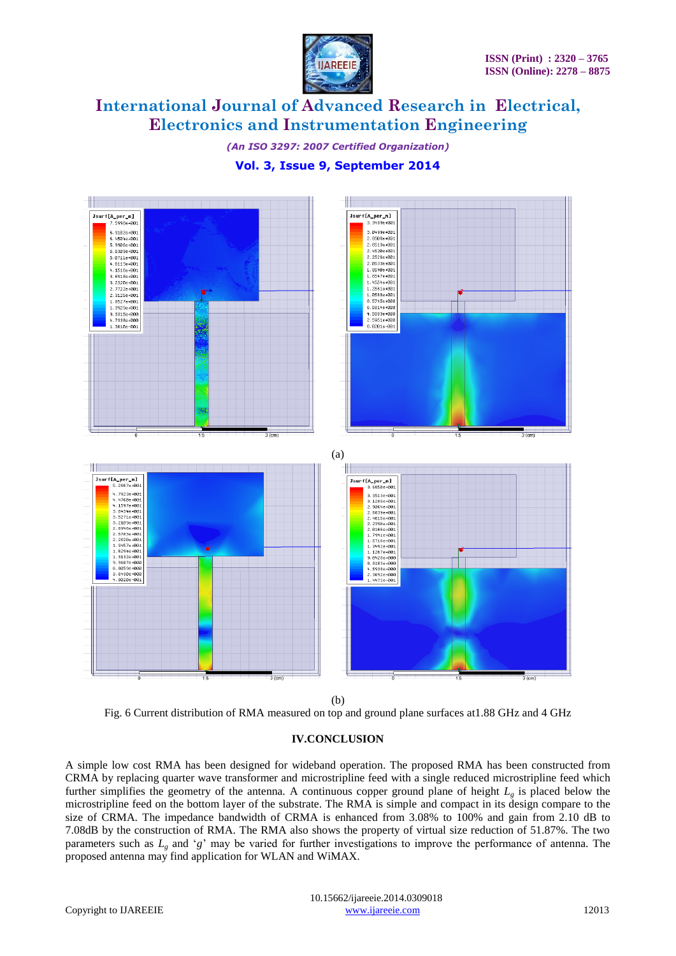

*(An ISO 3297: 2007 Certified Organization)*

## **Vol. 3, Issue 9, September 2014**



(b)

Fig. 6 Current distribution of RMA measured on top and ground plane surfaces at1.88 GHz and 4 GHz

#### **IV.CONCLUSION**

A simple low cost RMA has been designed for wideband operation. The proposed RMA has been constructed from CRMA by replacing quarter wave transformer and microstripline feed with a single reduced microstripline feed which further simplifies the geometry of the antenna. A continuous copper ground plane of height *L<sup>g</sup>* is placed below the microstripline feed on the bottom layer of the substrate. The RMA is simple and compact in its design compare to the size of CRMA. The impedance bandwidth of CRMA is enhanced from 3.08% to 100% and gain from 2.10 dB to 7.08dB by the construction of RMA. The RMA also shows the property of virtual size reduction of 51.87%. The two parameters such as *L<sup>g</sup>* and "*g*" may be varied for further investigations to improve the performance of antenna. The proposed antenna may find application for WLAN and WiMAX.